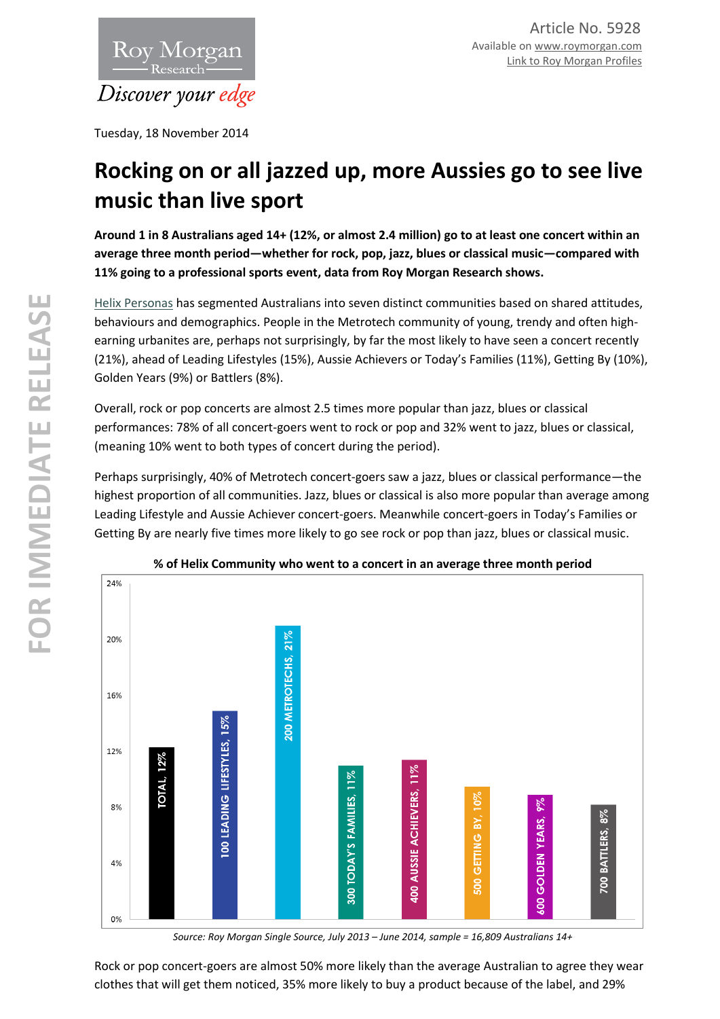

Tuesday, 18 November 2014

# **Rocking on or all jazzed up, more Aussies go to see live music than live sport**

**Around 1 in 8 Australians aged 14+ (12%, or almost 2.4 million) go to at least one concert within an average three month period—whether for rock, pop, jazz, blues or classical music—compared with 11% going to a professional sports event, data from Roy Morgan Research shows.** 

[Helix Personas](http://helixpersonas.com.au/) has segmented Australians into seven distinct communities based on shared attitudes, behaviours and demographics. People in the Metrotech community of young, trendy and often highearning urbanites are, perhaps not surprisingly, by far the most likely to have seen a concert recently (21%), ahead of Leading Lifestyles (15%), Aussie Achievers or Today's Families (11%), Getting By (10%), Golden Years (9%) or Battlers (8%).

Overall, rock or pop concerts are almost 2.5 times more popular than jazz, blues or classical performances: 78% of all concert-goers went to rock or pop and 32% went to jazz, blues or classical, (meaning 10% went to both types of concert during the period).

Perhaps surprisingly, 40% of Metrotech concert-goers saw a jazz, blues or classical performance—the highest proportion of all communities. Jazz, blues or classical is also more popular than average among Leading Lifestyle and Aussie Achiever concert-goers. Meanwhile concert-goers in Today's Families or Getting By are nearly five times more likely to go see rock or pop than jazz, blues or classical music.



## **% of Helix Community who went to a concert in an average three month period**

*Source: Roy Morgan Single Source, July 2013 – June 2014, sample = 16,809 Australians 14+*

Rock or pop concert-goers are almost 50% more likely than the average Australian to agree they wear clothes that will get them noticed, 35% more likely to buy a product because of the label, and 29%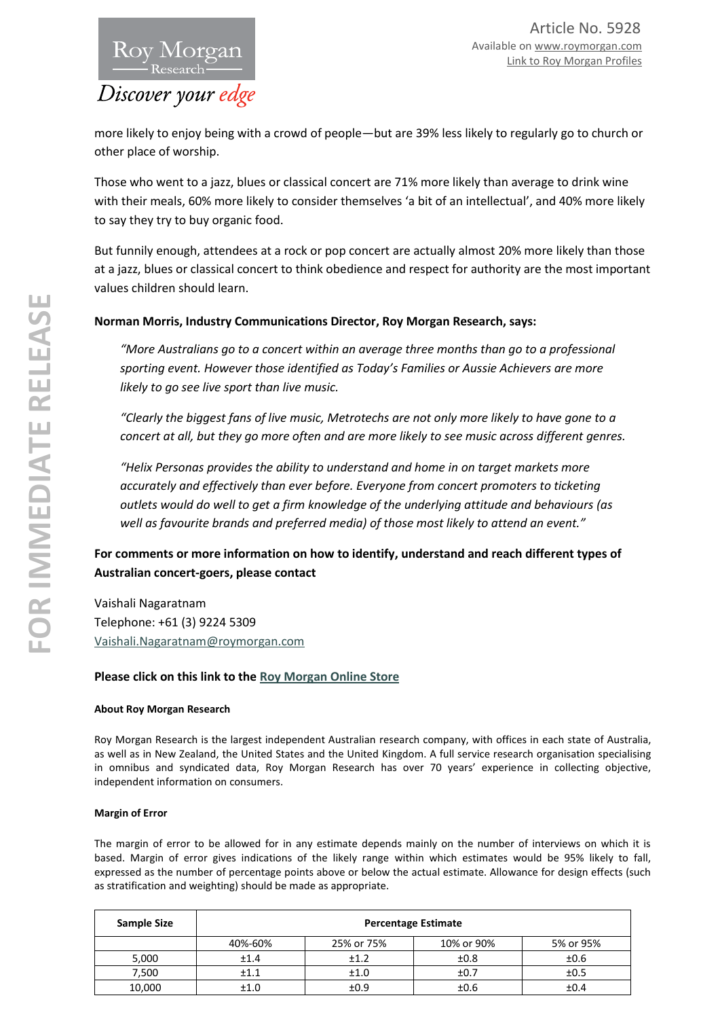more likely to enjoy being with a crowd of people—but are 39% less likely to regularly go to church or other place of worship.

Those who went to a jazz, blues or classical concert are 71% more likely than average to drink wine with their meals, 60% more likely to consider themselves 'a bit of an intellectual', and 40% more likely to say they try to buy organic food.

But funnily enough, attendees at a rock or pop concert are actually almost 20% more likely than those at a jazz, blues or classical concert to think obedience and respect for authority are the most important values children should learn.

# **Norman Morris, Industry Communications Director, Roy Morgan Research, says:**

*"More Australians go to a concert within an average three months than go to a professional sporting event. However those identified as Today's Families or Aussie Achievers are more likely to go see live sport than live music.* 

*"Clearly the biggest fans of live music, Metrotechs are not only more likely to have gone to a concert at all, but they go more often and are more likely to see music across different genres.* 

*"Helix Personas provides the ability to understand and home in on target markets more accurately and effectively than ever before. Everyone from concert promoters to ticketing outlets would do well to get a firm knowledge of the underlying attitude and behaviours (as well as favourite brands and preferred media) of those most likely to attend an event."* 

# **For comments or more information on how to identify, understand and reach different types of Australian concert-goers, please contact**

Vaishali Nagaratnam Telephone: +61 (3) 9224 5309 [Vaishali.Nagaratnam@roymorgan.com](mailto:Vaishali.Nagaratnam@roymorgan.com)

## **Please click on this link to the [Roy Morgan Online Store](http://www.roymorganonlinestore.com/)**

#### **About Roy Morgan Research**

Roy Morgan Research is the largest independent Australian research company, with offices in each state of Australia, as well as in New Zealand, the United States and the United Kingdom. A full service research organisation specialising in omnibus and syndicated data, Roy Morgan Research has over 70 years' experience in collecting objective, independent information on consumers.

### **Margin of Error**

The margin of error to be allowed for in any estimate depends mainly on the number of interviews on which it is based. Margin of error gives indications of the likely range within which estimates would be 95% likely to fall, expressed as the number of percentage points above or below the actual estimate. Allowance for design effects (such as stratification and weighting) should be made as appropriate.

| Sample Size | <b>Percentage Estimate</b> |            |            |           |  |  |
|-------------|----------------------------|------------|------------|-----------|--|--|
|             | 40%-60%                    | 25% or 75% | 10% or 90% | 5% or 95% |  |  |
| 5,000       | ±1.4                       | ±1.2       | ±0.8       | ±0.6      |  |  |
| 7,500       | ±1.1                       | ±1.0       | ±0.7       | ±0.5      |  |  |
| 10,000      | ±1.0                       | ±0.9       | ±0.6       | ±0.4      |  |  |